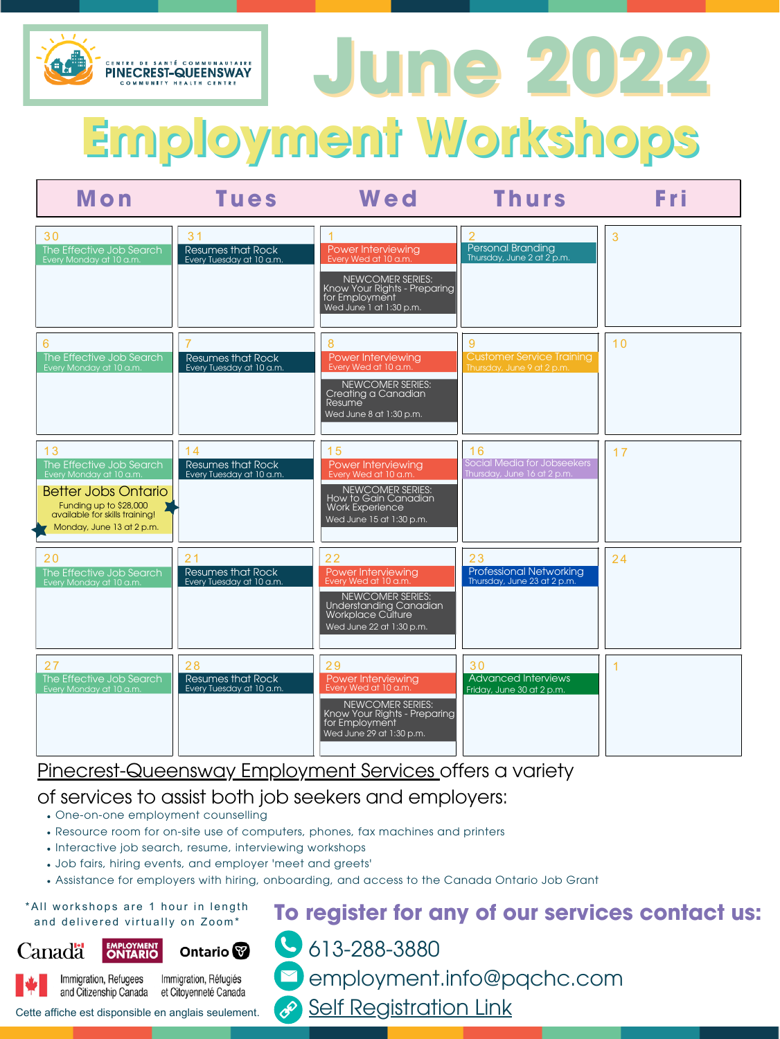# **To register for any of our services contact us:**

- 613-288-3880
	- employment.info@pqchc.com
- **Self [Registration](https://pqchcemployment.emhware.ca/self-referral/) Link**



**Employment Workshops**

Cette affiche est disponsible en anglais seulement.



## Pinecrest-Queensway Employment Services offers a variety

| Mon                                                                                                                                                                              | Tues                                                                   | Wed                                                                                                                                                | Thurs                                                                      | Fri |
|----------------------------------------------------------------------------------------------------------------------------------------------------------------------------------|------------------------------------------------------------------------|----------------------------------------------------------------------------------------------------------------------------------------------------|----------------------------------------------------------------------------|-----|
| 30<br>The Effective Job Search<br>Every Monday at 10 a.m.                                                                                                                        | 3 <sub>1</sub><br><b>Resumes that Rock</b><br>Every Tuesday at 10 a.m. | Power Interviewing<br>Every Wed at 10 a.m.<br>NEWCOMER SERIES:<br>Know Your Rights - Preparing<br>for Employment<br>Wed June 1 at 1:30 p.m.        | <b>Personal Branding</b><br>Thursday, June 2 at 2 p.m.                     | 3   |
| 6<br>The Effective Job Search<br>Every Monday at 10 a.m.                                                                                                                         | <b>Resumes that Rock</b><br>Every Tuesday at 10 a.m.                   | 8<br>Power Interviewing<br>Every Wed at 10 a.m.<br>NEWCOMER SERIES:<br>Creating a Canadian<br><b>Resume</b><br>Wed June 8 at 1:30 p.m.             | <u>g</u><br><b>Customer Service Training</b><br>Thursday, June 9 at 2 p.m. | 10  |
| 13<br>The Effective Job Search<br>Every Monday at 10 a.m.<br><b>Better Jobs Ontario</b><br>Funding up to \$28,000<br>available for skills training!<br>Monday, June 13 at 2 p.m. | 14<br><b>Resumes that Rock</b><br>Every Tuesday at 10 a.m.             | 15<br>Power Interviewing<br>Every Wed at 10 a.m.<br>NEWCOMER SERIES:<br>How to Gain Canadian<br><b>Work Experience</b><br>Wed June 15 at 1:30 p.m. | 16<br>Social Media for Jobseekers<br>Thursday, June 16 at 2 p.m.           | 17  |

- One-on-one employment counselling
- Resource room for on-site use of computers, phones, fax machines and printers
- Interactive job search, resume, interviewing workshops
- Job fairs, hiring events, and employer 'meet and greets'
- Assistance for employers with hiring, onboarding, and access to the Canada Ontario Job Grant

\*All workshops are 1 hour in length and delivered virtually on Zoom\*







Immigration, Refugees Immigration, Réfugiés and Citizenship Canada et Citoyenneté Canada

#### of services to assist both job seekers and employers: